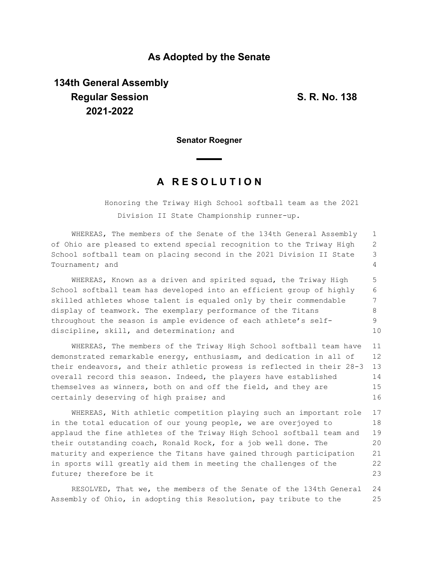### **As Adopted by the Senate**

# **134th General Assembly Regular Session S. R. No. 138 2021-2022**

**Senator Roegner**

## **A R E S O L U T I O N**

Honoring the Triway High School softball team as the 2021 Division II State Championship runner-up.

WHEREAS, The members of the Senate of the 134th General Assembly of Ohio are pleased to extend special recognition to the Triway High School softball team on placing second in the 2021 Division II State Tournament; and 1 2 3 4

WHEREAS, Known as a driven and spirited squad, the Triway High School softball team has developed into an efficient group of highly skilled athletes whose talent is equaled only by their commendable display of teamwork. The exemplary performance of the Titans throughout the season is ample evidence of each athlete's selfdiscipline, skill, and determination; and 5 6 7 8 9 10

WHEREAS, The members of the Triway High School softball team have demonstrated remarkable energy, enthusiasm, and dedication in all of their endeavors, and their athletic prowess is reflected in their 28-3 overall record this season. Indeed, the players have established themselves as winners, both on and off the field, and they are certainly deserving of high praise; and 11 12 13 14 15 16

WHEREAS, With athletic competition playing such an important role in the total education of our young people, we are overjoyed to applaud the fine athletes of the Triway High School softball team and their outstanding coach, Ronald Rock, for a job well done. The maturity and experience the Titans have gained through participation in sports will greatly aid them in meeting the challenges of the future; therefore be it 17 18 19 20 21 22 23

RESOLVED, That we, the members of the Senate of the 134th General Assembly of Ohio, in adopting this Resolution, pay tribute to the 24 25